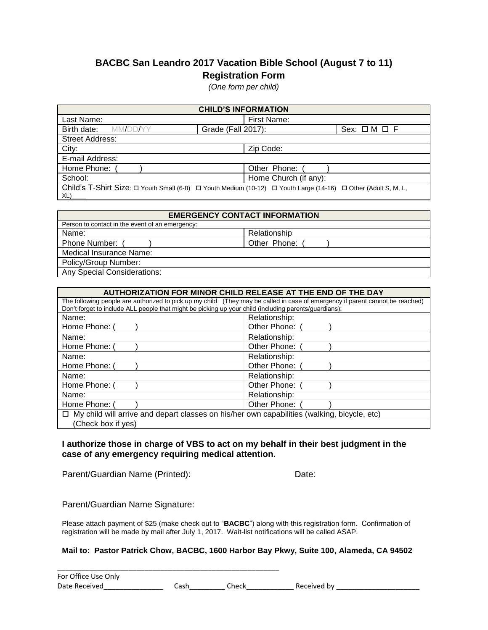## **BACBC San Leandro 2017 Vacation Bible School (August 7 to 11) Registration Form**

*(One form per child)*

| <b>CHILD'S INFORMATION</b>                                                                                            |                    |                       |                            |  |
|-----------------------------------------------------------------------------------------------------------------------|--------------------|-----------------------|----------------------------|--|
| Last Name:                                                                                                            |                    | First Name:           |                            |  |
| MM/DD/YY<br>Birth date:                                                                                               | Grade (Fall 2017): |                       | $Sex: \square M \square F$ |  |
| <b>Street Address:</b>                                                                                                |                    |                       |                            |  |
| City:                                                                                                                 |                    | Zip Code:             |                            |  |
| E-mail Address:                                                                                                       |                    |                       |                            |  |
| Home Phone:                                                                                                           |                    | Other Phone:          |                            |  |
| School:                                                                                                               |                    | Home Church (if any): |                            |  |
| Child's T-Shirt Size: □ Youth Small (6-8) □ Youth Medium (10-12) □ Youth Large (14-16) □ Other (Adult S, M, L,<br>XL) |                    |                       |                            |  |

| <b>EMERGENCY CONTACT INFORMATION</b>            |              |  |  |  |
|-------------------------------------------------|--------------|--|--|--|
| Person to contact in the event of an emergency: |              |  |  |  |
| Name:                                           | Relationship |  |  |  |
| Phone Number:                                   | Other Phone: |  |  |  |
| Medical Insurance Name:                         |              |  |  |  |
| Policy/Group Number:                            |              |  |  |  |
| <b>Any Special Considerations:</b>              |              |  |  |  |

| AUTHORIZATION FOR MINOR CHILD RELEASE AT THE END OF THE DAY                                                                                                                                                                            |               |  |  |  |
|----------------------------------------------------------------------------------------------------------------------------------------------------------------------------------------------------------------------------------------|---------------|--|--|--|
| The following people are authorized to pick up my child (They may be called in case of emergency if parent cannot be reached)<br>Don't forget to include ALL people that might be picking up your child (including parents/guardians): |               |  |  |  |
| Name:                                                                                                                                                                                                                                  | Relationship: |  |  |  |
| Home Phone: (                                                                                                                                                                                                                          | Other Phone:  |  |  |  |
| Name:                                                                                                                                                                                                                                  | Relationship: |  |  |  |
| Home Phone: (                                                                                                                                                                                                                          | Other Phone:  |  |  |  |
| Name:                                                                                                                                                                                                                                  | Relationship: |  |  |  |
| Home Phone: (                                                                                                                                                                                                                          | Other Phone:  |  |  |  |
| Name:                                                                                                                                                                                                                                  | Relationship: |  |  |  |
| Home Phone: (                                                                                                                                                                                                                          | Other Phone:  |  |  |  |
| Name:                                                                                                                                                                                                                                  | Relationship: |  |  |  |
| Home Phone: 0                                                                                                                                                                                                                          | Other Phone:  |  |  |  |
| $\Box$ My child will arrive and depart classes on his/her own capabilities (walking, bicycle, etc)                                                                                                                                     |               |  |  |  |
| (Check box if yes)                                                                                                                                                                                                                     |               |  |  |  |

## **I authorize those in charge of VBS to act on my behalf in their best judgment in the case of any emergency requiring medical attention.**

Parent/Guardian Name (Printed): Date:

Parent/Guardian Name Signature:

Please attach payment of \$25 (make check out to "**BACBC**") along with this registration form. Confirmation of registration will be made by mail after July 1, 2017. Wait-list notifications will be called ASAP.

## **Mail to: Pastor Patrick Chow, BACBC, 1600 Harbor Bay Pkwy, Suite 100, Alameda, CA 94502**

\_\_\_\_\_\_\_\_\_\_\_\_\_\_\_\_\_\_\_\_\_\_\_\_\_\_\_\_\_\_\_\_\_\_\_\_\_\_\_\_\_\_\_\_\_\_\_\_\_\_\_\_\_\_\_\_ For Office Use Only Date Received\_\_\_\_\_\_\_\_\_\_\_\_\_\_\_ Cash\_\_\_\_\_\_\_\_\_ Check\_\_\_\_\_\_\_\_\_\_\_\_ Received by \_\_\_\_\_\_\_\_\_\_\_\_\_\_\_\_\_\_\_\_\_